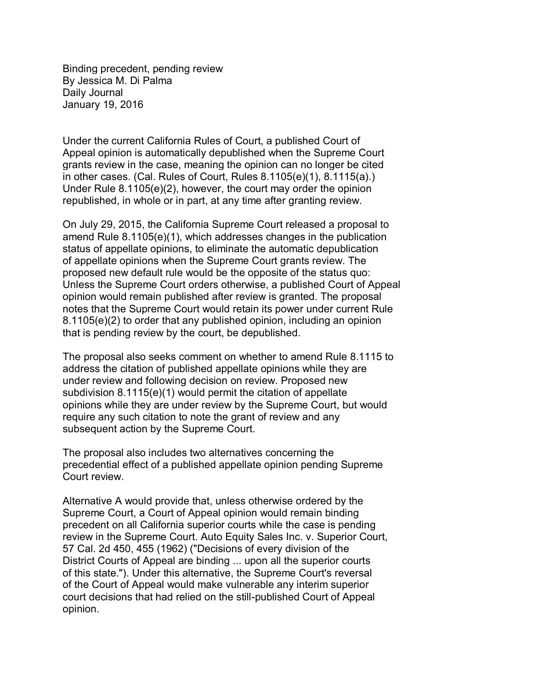Binding precedent, pending review By Jessica M. Di Palma Daily Journal January 19, 2016

Under the current California Rules of Court, a published Court of Appeal opinion is automatically depublished when the Supreme Court grants review in the case, meaning the opinion can no longer be cited in other cases. (Cal. Rules of Court, Rules 8.1105(e)(1), 8.1115(a).) Under Rule 8.1105(e)(2), however, the court may order the opinion republished, in whole or in part, at any time after granting review.

On July 29, 2015, the California Supreme Court released a proposal to amend Rule 8.1105(e)(1), which addresses changes in the publication status of appellate opinions, to eliminate the automatic depublication of appellate opinions when the Supreme Court grants review. The proposed new default rule would be the opposite of the status quo: Unless the Supreme Court orders otherwise, a published Court of Appeal opinion would remain published after review is granted. The proposal notes that the Supreme Court would retain its power under current Rule 8.1105(e)(2) to order that any published opinion, including an opinion that is pending review by the court, be depublished.

The proposal also seeks comment on whether to amend Rule 8.1115 to address the citation of published appellate opinions while they are under review and following decision on review. Proposed new subdivision 8.1115(e)(1) would permit the citation of appellate opinions while they are under review by the Supreme Court, but would require any such citation to note the grant of review and any subsequent action by the Supreme Court.

The proposal also includes two alternatives concerning the precedential effect of a published appellate opinion pending Supreme Court review.

Alternative A would provide that, unless otherwise ordered by the Supreme Court, a Court of Appeal opinion would remain binding precedent on all California superior courts while the case is pending review in the Supreme Court. Auto Equity Sales Inc. v. Superior Court, 57 Cal. 2d 450, 455 (1962) ("Decisions of every division of the District Courts of Appeal are binding ... upon all the superior courts of this state."). Under this alternative, the Supreme Court's reversal of the Court of Appeal would make vulnerable any interim superior court decisions that had relied on the still-published Court of Appeal opinion.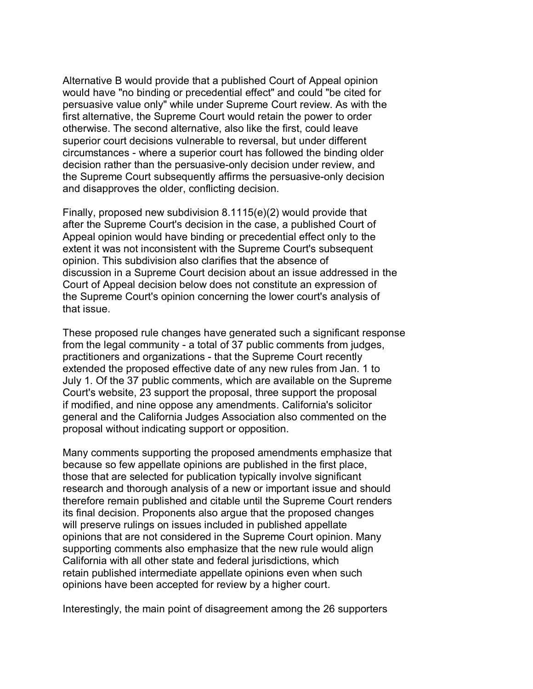Alternative B would provide that a published Court of Appeal opinion would have "no binding or precedential effect" and could "be cited for persuasive value only" while under Supreme Court review. As with the first alternative, the Supreme Court would retain the power to order otherwise. The second alternative, also like the first, could leave superior court decisions vulnerable to reversal, but under different circumstances - where a superior court has followed the binding older decision rather than the persuasive-only decision under review, and the Supreme Court subsequently affirms the persuasive-only decision and disapproves the older, conflicting decision.

Finally, proposed new subdivision 8.1115(e)(2) would provide that after the Supreme Court's decision in the case, a published Court of Appeal opinion would have binding or precedential effect only to the extent it was not inconsistent with the Supreme Court's subsequent opinion. This subdivision also clarifies that the absence of discussion in a Supreme Court decision about an issue addressed in the Court of Appeal decision below does not constitute an expression of the Supreme Court's opinion concerning the lower court's analysis of that issue.

These proposed rule changes have generated such a significant response from the legal community - a total of 37 public comments from judges, practitioners and organizations - that the Supreme Court recently extended the proposed effective date of any new rules from Jan. 1 to July 1. Of the 37 public comments, which are available on the Supreme Court's website, 23 support the proposal, three support the proposal if modified, and nine oppose any amendments. California's solicitor general and the California Judges Association also commented on the proposal without indicating support or opposition.

Many comments supporting the proposed amendments emphasize that because so few appellate opinions are published in the first place, those that are selected for publication typically involve significant research and thorough analysis of a new or important issue and should therefore remain published and citable until the Supreme Court renders its final decision. Proponents also argue that the proposed changes will preserve rulings on issues included in published appellate opinions that are not considered in the Supreme Court opinion. Many supporting comments also emphasize that the new rule would align California with all other state and federal jurisdictions, which retain published intermediate appellate opinions even when such opinions have been accepted for review by a higher court.

Interestingly, the main point of disagreement among the 26 supporters